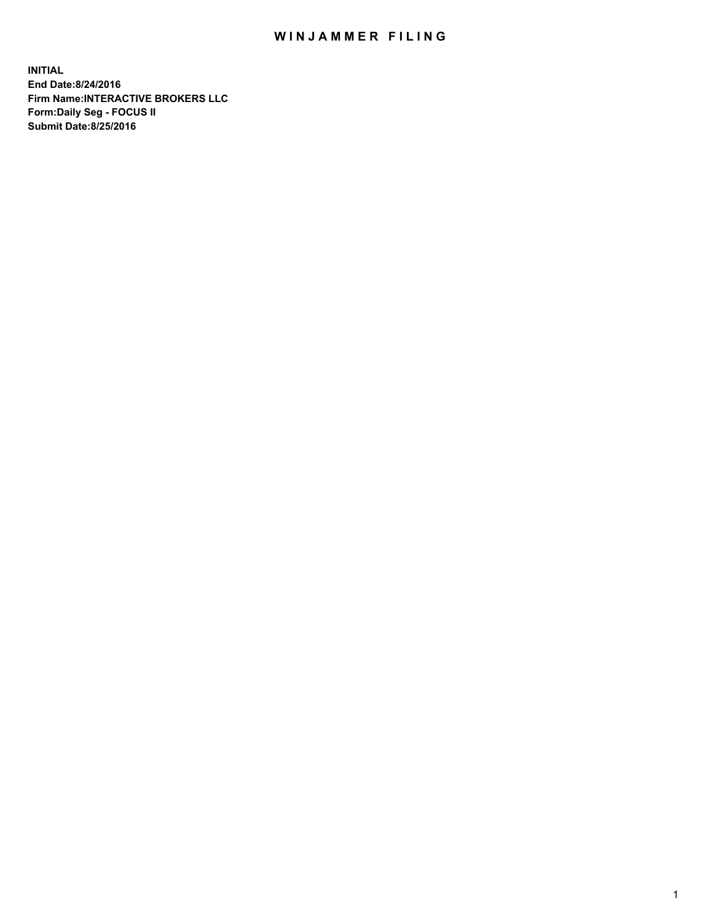## WIN JAMMER FILING

**INITIAL End Date:8/24/2016 Firm Name:INTERACTIVE BROKERS LLC Form:Daily Seg - FOCUS II Submit Date:8/25/2016**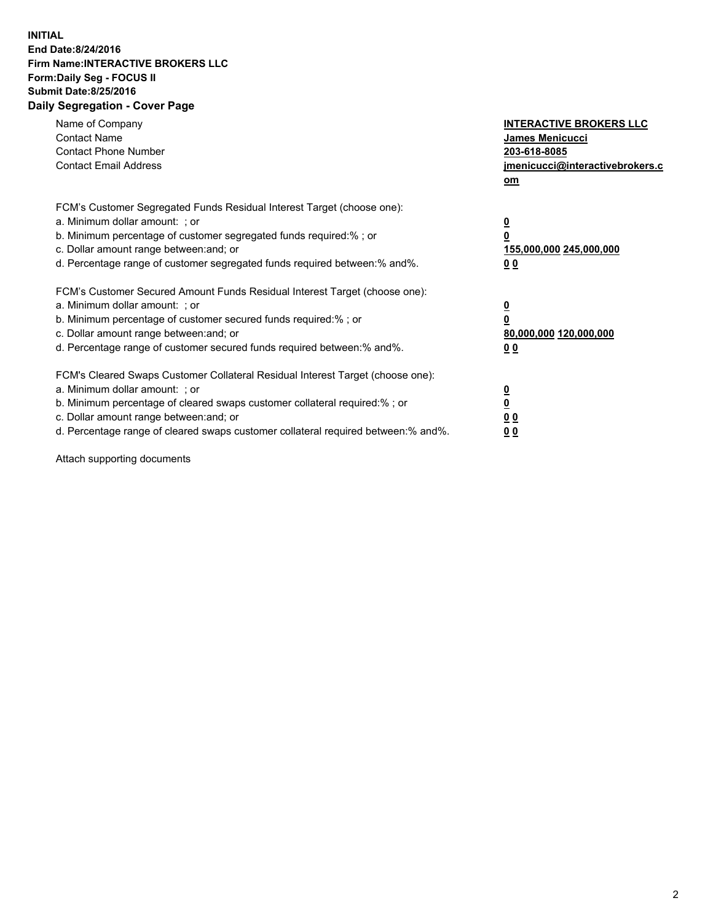## **INITIAL End Date:8/24/2016 Firm Name:INTERACTIVE BROKERS LLC Form:Daily Seg - FOCUS II Submit Date:8/25/2016 Daily Segregation - Cover Page**

| Name of Company<br><b>Contact Name</b><br><b>Contact Phone Number</b><br><b>Contact Email Address</b>                                                                                                                                                                                                                          | <b>INTERACTIVE BROKERS LLC</b><br>James Menicucci<br>203-618-8085<br>jmenicucci@interactivebrokers.c<br>om |
|--------------------------------------------------------------------------------------------------------------------------------------------------------------------------------------------------------------------------------------------------------------------------------------------------------------------------------|------------------------------------------------------------------------------------------------------------|
| FCM's Customer Segregated Funds Residual Interest Target (choose one):<br>a. Minimum dollar amount: ; or<br>b. Minimum percentage of customer segregated funds required:%; or<br>c. Dollar amount range between: and; or<br>d. Percentage range of customer segregated funds required between:% and%.                          | $\overline{\mathbf{0}}$<br>0<br>155,000,000 245,000,000<br>0 <sub>0</sub>                                  |
| FCM's Customer Secured Amount Funds Residual Interest Target (choose one):<br>a. Minimum dollar amount: ; or<br>b. Minimum percentage of customer secured funds required:%; or<br>c. Dollar amount range between: and; or<br>d. Percentage range of customer secured funds required between:% and%.                            | $\overline{\mathbf{0}}$<br>$\overline{\mathbf{0}}$<br>80,000,000 120,000,000<br>00                         |
| FCM's Cleared Swaps Customer Collateral Residual Interest Target (choose one):<br>a. Minimum dollar amount: ; or<br>b. Minimum percentage of cleared swaps customer collateral required:% ; or<br>c. Dollar amount range between: and; or<br>d. Percentage range of cleared swaps customer collateral required between:% and%. | $\overline{\mathbf{0}}$<br>$\overline{\mathbf{0}}$<br>0 <sub>0</sub><br><u>00</u>                          |

Attach supporting documents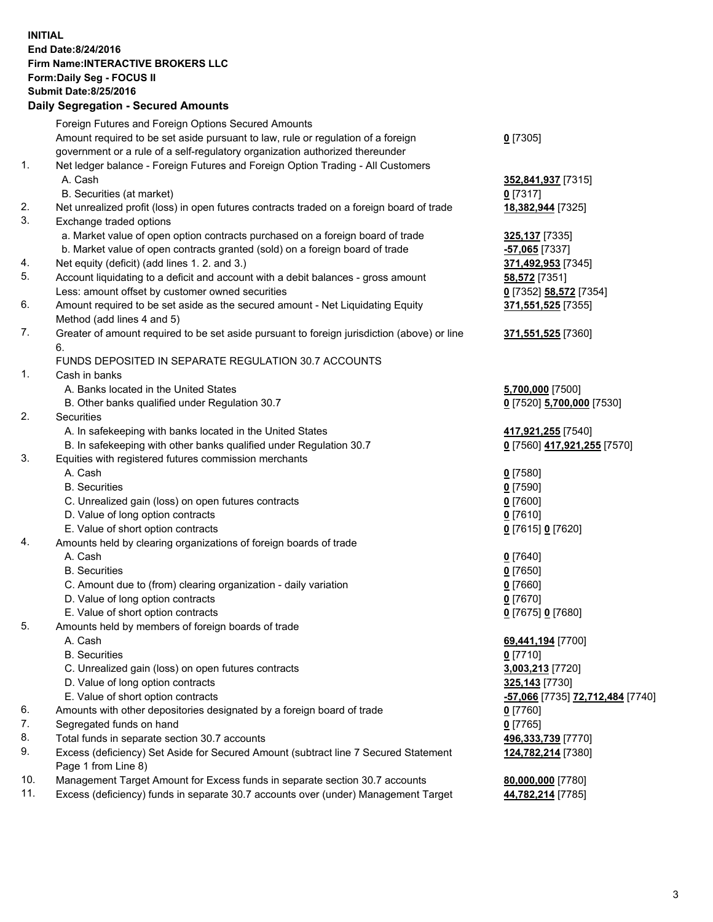## **INITIAL End Date:8/24/2016 Firm Name:INTERACTIVE BROKERS LLC Form:Daily Seg - FOCUS II Submit Date:8/25/2016 Daily Segregation - Secured Amounts**

|                | Daily Segregation - Secured Announts                                                        |                                  |
|----------------|---------------------------------------------------------------------------------------------|----------------------------------|
|                | Foreign Futures and Foreign Options Secured Amounts                                         |                                  |
|                | Amount required to be set aside pursuant to law, rule or regulation of a foreign            | $0$ [7305]                       |
|                | government or a rule of a self-regulatory organization authorized thereunder                |                                  |
| $\mathbf{1}$ . | Net ledger balance - Foreign Futures and Foreign Option Trading - All Customers             |                                  |
|                | A. Cash                                                                                     | 352,841,937 [7315]               |
|                | B. Securities (at market)                                                                   | $0$ [7317]                       |
| 2.             | Net unrealized profit (loss) in open futures contracts traded on a foreign board of trade   | 18,382,944 [7325]                |
| 3.             | Exchange traded options                                                                     |                                  |
|                | a. Market value of open option contracts purchased on a foreign board of trade              | 325,137 [7335]                   |
|                | b. Market value of open contracts granted (sold) on a foreign board of trade                | -57,065 [7337]                   |
| 4.             | Net equity (deficit) (add lines 1.2. and 3.)                                                | 371,492,953 [7345]               |
| 5.             | Account liquidating to a deficit and account with a debit balances - gross amount           | 58,572 [7351]                    |
|                | Less: amount offset by customer owned securities                                            | 0 [7352] 58,572 [7354]           |
| 6.             | Amount required to be set aside as the secured amount - Net Liquidating Equity              | 371,551,525 [7355]               |
|                | Method (add lines 4 and 5)                                                                  |                                  |
| 7.             | Greater of amount required to be set aside pursuant to foreign jurisdiction (above) or line | 371,551,525 [7360]               |
|                | 6.                                                                                          |                                  |
|                | FUNDS DEPOSITED IN SEPARATE REGULATION 30.7 ACCOUNTS                                        |                                  |
| 1.             | Cash in banks                                                                               |                                  |
|                | A. Banks located in the United States                                                       | 5,700,000 [7500]                 |
|                | B. Other banks qualified under Regulation 30.7                                              | 0 [7520] 5,700,000 [7530]        |
| 2.             | Securities                                                                                  |                                  |
|                | A. In safekeeping with banks located in the United States                                   | 417,921,255 [7540]               |
|                | B. In safekeeping with other banks qualified under Regulation 30.7                          | 0 [7560] 417,921,255 [7570]      |
| 3.             | Equities with registered futures commission merchants                                       |                                  |
|                | A. Cash                                                                                     | $0$ [7580]                       |
|                | <b>B.</b> Securities                                                                        | $0$ [7590]                       |
|                | C. Unrealized gain (loss) on open futures contracts                                         | $0$ [7600]                       |
|                | D. Value of long option contracts                                                           | $0$ [7610]                       |
|                | E. Value of short option contracts                                                          | 0 [7615] 0 [7620]                |
| 4.             | Amounts held by clearing organizations of foreign boards of trade                           |                                  |
|                | A. Cash                                                                                     | $0$ [7640]                       |
|                | <b>B.</b> Securities                                                                        | $0$ [7650]                       |
|                | C. Amount due to (from) clearing organization - daily variation                             | $0$ [7660]                       |
|                | D. Value of long option contracts                                                           | $0$ [7670]                       |
|                | E. Value of short option contracts                                                          | 0 [7675] 0 [7680]                |
| 5.             | Amounts held by members of foreign boards of trade                                          |                                  |
|                | A. Cash                                                                                     | 69,441,194 [7700]                |
|                | <b>B.</b> Securities                                                                        | $0$ [7710]                       |
|                | C. Unrealized gain (loss) on open futures contracts                                         | 3,003,213 [7720]                 |
|                | D. Value of long option contracts                                                           | 325,143 [7730]                   |
|                | E. Value of short option contracts                                                          | -57,066 [7735] 72,712,484 [7740] |
| 6.             | Amounts with other depositories designated by a foreign board of trade                      | 0 [7760]                         |
| 7.             | Segregated funds on hand                                                                    | $0$ [7765]                       |
| 8.             | Total funds in separate section 30.7 accounts                                               | 496,333,739 [7770]               |
| 9.             | Excess (deficiency) Set Aside for Secured Amount (subtract line 7 Secured Statement         | 124,782,214 [7380]               |
|                | Page 1 from Line 8)                                                                         |                                  |
| 10.            | Management Target Amount for Excess funds in separate section 30.7 accounts                 | 80,000,000 [7780]                |
| 11.            | Excess (deficiency) funds in separate 30.7 accounts over (under) Management Target          | 44,782,214 [7785]                |
|                |                                                                                             |                                  |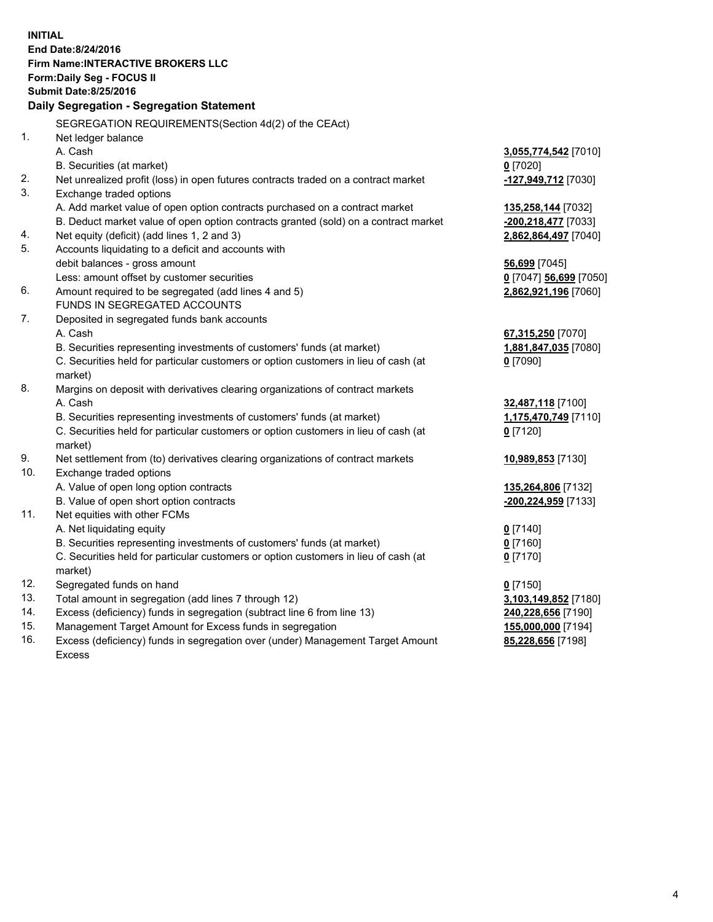**INITIAL End Date:8/24/2016 Firm Name:INTERACTIVE BROKERS LLC Form:Daily Seg - FOCUS II Submit Date:8/25/2016 Daily Segregation - Segregation Statement** SEGREGATION REQUIREMENTS(Section 4d(2) of the CEAct) 1. Net ledger balance A. Cash **3,055,774,542** [7010] B. Securities (at market) **0** [7020] 2. Net unrealized profit (loss) in open futures contracts traded on a contract market **-127,949,712** [7030] 3. Exchange traded options A. Add market value of open option contracts purchased on a contract market **135,258,144** [7032] B. Deduct market value of open option contracts granted (sold) on a contract market **-200,218,477** [7033] 4. Net equity (deficit) (add lines 1, 2 and 3) **2,862,864,497** [7040] 5. Accounts liquidating to a deficit and accounts with debit balances - gross amount **56,699** [7045] Less: amount offset by customer securities **0** [7047] **56,699** [7050] 6. Amount required to be segregated (add lines 4 and 5) **2,862,921,196** [7060] FUNDS IN SEGREGATED ACCOUNTS 7. Deposited in segregated funds bank accounts A. Cash **67,315,250** [7070] B. Securities representing investments of customers' funds (at market) **1,881,847,035** [7080] C. Securities held for particular customers or option customers in lieu of cash (at market) **0** [7090] 8. Margins on deposit with derivatives clearing organizations of contract markets A. Cash **32,487,118** [7100] B. Securities representing investments of customers' funds (at market) **1,175,470,749** [7110] C. Securities held for particular customers or option customers in lieu of cash (at market) **0** [7120] 9. Net settlement from (to) derivatives clearing organizations of contract markets **10,989,853** [7130] 10. Exchange traded options A. Value of open long option contracts **135,264,806** [7132] B. Value of open short option contracts **-200,224,959** [7133] 11. Net equities with other FCMs A. Net liquidating equity **0** [7140] B. Securities representing investments of customers' funds (at market) **0** [7160] C. Securities held for particular customers or option customers in lieu of cash (at market) **0** [7170] 12. Segregated funds on hand **0** [7150] 13. Total amount in segregation (add lines 7 through 12) **3,103,149,852** [7180] 14. Excess (deficiency) funds in segregation (subtract line 6 from line 13) **240,228,656** [7190] 15. Management Target Amount for Excess funds in segregation **155,000,000** [7194] **85,228,656** [7198]

16. Excess (deficiency) funds in segregation over (under) Management Target Amount Excess